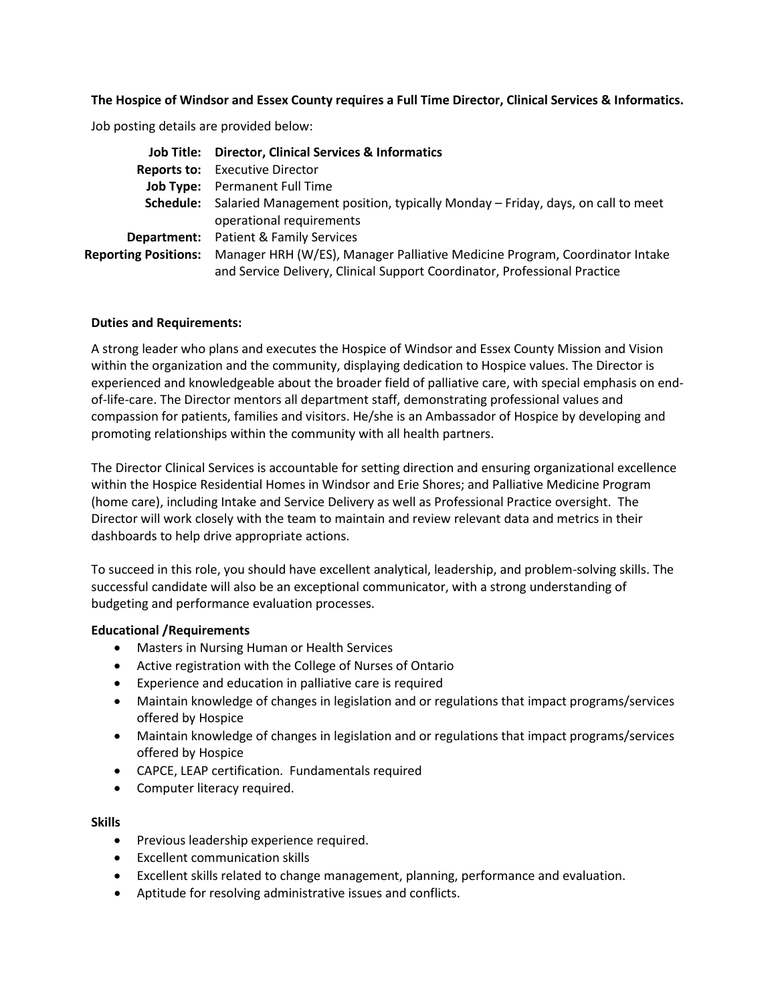## **The Hospice of Windsor and Essex County requires a Full Time Director, Clinical Services & Informatics.**

Job posting details are provided below:

|                             | Job Title: Director, Clinical Services & Informatics                                     |
|-----------------------------|------------------------------------------------------------------------------------------|
|                             | <b>Reports to:</b> Executive Director                                                    |
|                             | Job Type: Permanent Full Time                                                            |
|                             | Schedule: Salaried Management position, typically Monday - Friday, days, on call to meet |
|                             | operational requirements                                                                 |
|                             | <b>Department:</b> Patient & Family Services                                             |
| <b>Reporting Positions:</b> | Manager HRH (W/ES), Manager Palliative Medicine Program, Coordinator Intake              |
|                             | and Service Delivery, Clinical Support Coordinator, Professional Practice                |

## **Duties and Requirements:**

A strong leader who plans and executes the Hospice of Windsor and Essex County Mission and Vision within the organization and the community, displaying dedication to Hospice values. The Director is experienced and knowledgeable about the broader field of palliative care, with special emphasis on endof-life-care. The Director mentors all department staff, demonstrating professional values and compassion for patients, families and visitors. He/she is an Ambassador of Hospice by developing and promoting relationships within the community with all health partners.

The Director Clinical Services is accountable for setting direction and ensuring organizational excellence within the Hospice Residential Homes in Windsor and Erie Shores; and Palliative Medicine Program (home care), including Intake and Service Delivery as well as Professional Practice oversight. The Director will work closely with the team to maintain and review relevant data and metrics in their dashboards to help drive appropriate actions.

To succeed in this role, you should have excellent analytical, leadership, and problem-solving skills. The successful candidate will also be an exceptional communicator, with a strong understanding of budgeting and performance evaluation processes.

## **Educational /Requirements**

- Masters in Nursing Human or Health Services
- Active registration with the College of Nurses of Ontario
- Experience and education in palliative care is required
- Maintain knowledge of changes in legislation and or regulations that impact programs/services offered by Hospice
- Maintain knowledge of changes in legislation and or regulations that impact programs/services offered by Hospice
- CAPCE, LEAP certification. Fundamentals required
- Computer literacy required.

## **Skills**

- Previous leadership experience required.
- Excellent communication skills
- Excellent skills related to change management, planning, performance and evaluation.
- Aptitude for resolving administrative issues and conflicts.